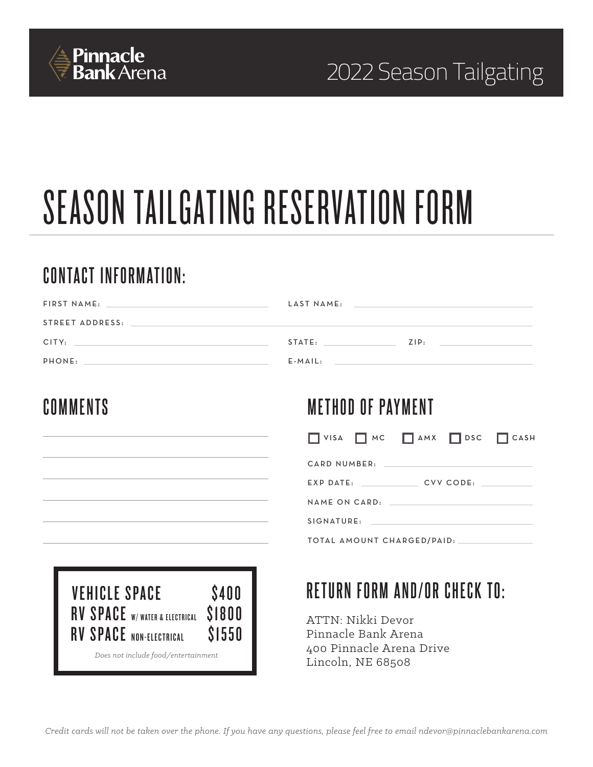

## 2022 Season Tailgating

# SEASON TAILGATING RESERVATION FORM

## **CONTACT INFORMATION:**

| FIRST NAME:<br>the control of the control of the control of the control of the control of the control of                                                                                                                                | LAST NAME: | the control of the control of the control of the control of the control of the control of                             |
|-----------------------------------------------------------------------------------------------------------------------------------------------------------------------------------------------------------------------------------------|------------|-----------------------------------------------------------------------------------------------------------------------|
| STREET ADDRESS:                                                                                                                                                                                                                         |            |                                                                                                                       |
| CITY:                                                                                                                                                                                                                                   | STATE:     | ZIP:                                                                                                                  |
| PHONE:<br>the control of the control of the control of the control of the control of the control of the control of the control of the control of the control of the control of the control of the control of the control of the control | $E$ -MAIL: | <u> 1989 - Johann Stoff, deutscher Stoffen und der Stoffen und der Stoffen und der Stoffen und der Stoffen und de</u> |

### **COMMENTS**

## **METHOD OF PAYMENT**



CARD NUMBER:

EXP DATE: \_\_\_\_\_\_\_\_\_\_\_\_\_\_\_ CVV CODE: \_\_

NAME ON CARD:

SIGNATURE:

TOTAL AMOUNT CHARGED/PAID:



## **RETURN FORM AND/OR CHECK TO:**

ATTN: Nikki Devor Pinnacle Bank Arena 400 Pinnacle Arena Drive Lincoln, NE 68508